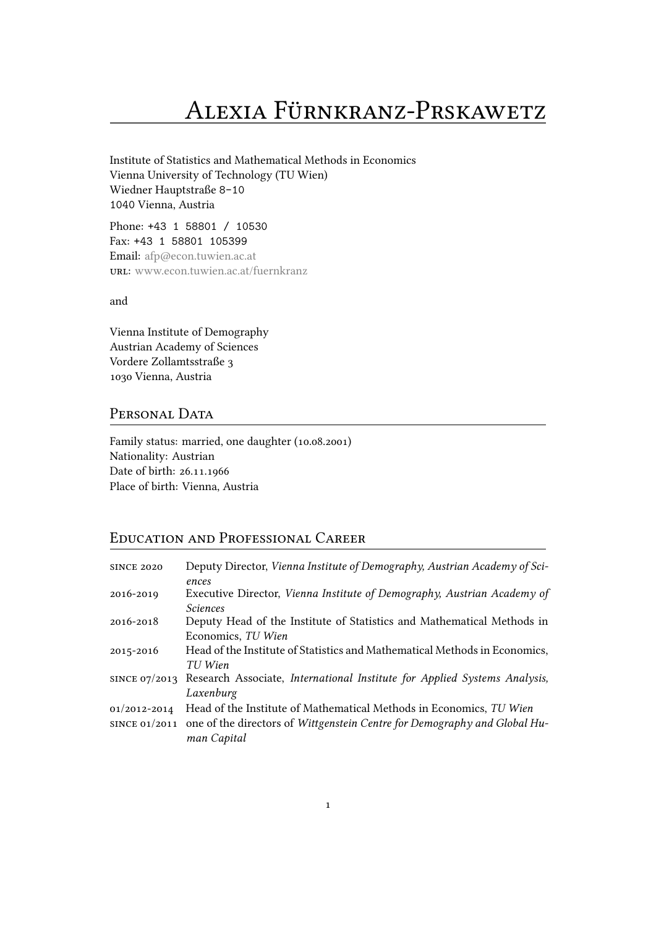# Alexia FÜRnKRanz-PRsKawetz

Institute of Statistics and Mathematical Methods in Economics Vienna University of Technology (TU Wien) Wiedner Hauptstraße 8-10 1040 Vienna, Austria

Phone: +43 1 58801 / 10530 Fax: +43 1 58801 105399 Email: afp@econ.tuwien.ac.at uRl: www.econ.tuwien.ac.at/fuernkranz

and

Vien[na Institute of Demography](http://www.econ.tuwien.ac.at/fuernkranz) Austrian Academy of Sciences Vordere Zollamtsstraße 3 1030 Vienna, Austria

# PERSONAL DATA

Family status: married, one daughter (10.08.2001) Nationality: Austrian Date of birth: 26.11.1966 Place of birth: Vienna, Austria

# Education and PRofessional CaReeR

| <b>SINCE 2020</b> | Deputy Director, Vienna Institute of Demography, Austrian Academy of Sci-               |
|-------------------|-----------------------------------------------------------------------------------------|
|                   | ences                                                                                   |
| 2016-2019         | Executive Director, Vienna Institute of Demography, Austrian Academy of                 |
|                   | <i>Sciences</i>                                                                         |
| 2016-2018         | Deputy Head of the Institute of Statistics and Mathematical Methods in                  |
|                   | Economics, TU Wien                                                                      |
| 2015-2016         | Head of the Institute of Statistics and Mathematical Methods in Economics,              |
|                   | TU Wien                                                                                 |
|                   | SINCE 07/2013 Research Associate, International Institute for Applied Systems Analysis, |
|                   | Laxenburg                                                                               |
| 01/2012-2014      | Head of the Institute of Mathematical Methods in Economics, TU Wien                     |
|                   | since 01/2011 one of the directors of Wittgenstein Centre for Demography and Global Hu- |
|                   | man Capital                                                                             |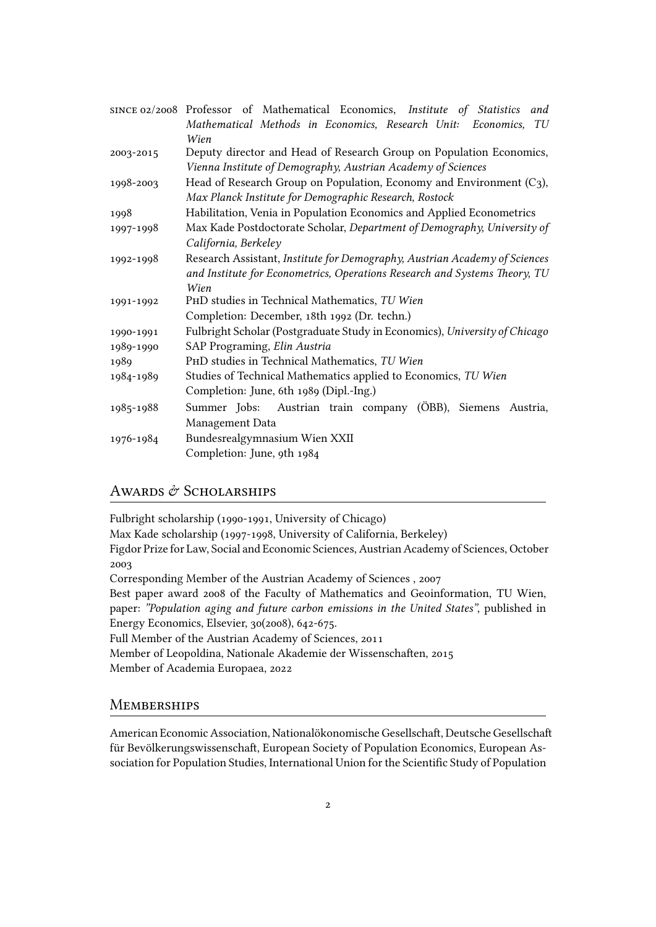|           | SINCE 02/2008 Professor of Mathematical Economics, Institute of Statistics and |
|-----------|--------------------------------------------------------------------------------|
|           | Mathematical Methods in Economics, Research Unit: Economics,<br>TU             |
|           | Wien                                                                           |
| 2003-2015 | Deputy director and Head of Research Group on Population Economics,            |
|           | Vienna Institute of Demography, Austrian Academy of Sciences                   |
| 1998-2003 | Head of Research Group on Population, Economy and Environment $(C_3)$ ,        |
|           | Max Planck Institute for Demographic Research, Rostock                         |
| 1998      | Habilitation, Venia in Population Economics and Applied Econometrics           |
| 1997-1998 | Max Kade Postdoctorate Scholar, Department of Demography, University of        |
|           | California, Berkeley                                                           |
| 1992-1998 | Research Assistant, Institute for Demography, Austrian Academy of Sciences     |
|           | and Institute for Econometrics, Operations Research and Systems Theory, TU     |
|           | Wien                                                                           |
| 1991-1992 | PHD studies in Technical Mathematics, TU Wien                                  |
|           | Completion: December, 18th 1992 (Dr. techn.)                                   |
| 1990-1991 | Fulbright Scholar (Postgraduate Study in Economics), University of Chicago     |
| 1989-1990 | SAP Programing, Elin Austria                                                   |
| 1989      | PHD studies in Technical Mathematics, TU Wien                                  |
| 1984-1989 | Studies of Technical Mathematics applied to Economics, TU Wien                 |
|           | Completion: June, 6th 1989 (Dipl.-Ing.)                                        |
| 1985-1988 | Summer Jobs: Austrian train company (ÖBB), Siemens<br>Austria,                 |
|           | Management Data                                                                |
| 1976-1984 | Bundesrealgymnasium Wien XXII                                                  |
|           | Completion: June, 9th 1984                                                     |
|           |                                                                                |

# AWARDS & SCHOLARSHIPS

Fulbright scholarship (1990-1991, University of Chicago)

Max Kade scholarship (1997-1998, University of California, Berkeley)

Figdor Prize for Law, Social and Economic Sciences, Austrian Academy of Sciences, October 2003

Corresponding Member of the Austrian Academy of Sciences , 2007

Best paper award 2008 of the Faculty of Mathematics and Geoinformation, TU Wien, paper: *"Population aging and future carbon emissions in the United States"*, published in Energy Economics, Elsevier, 30(2008), 642-675.

Full Member of the Austrian Academy of Sciences, 2011

Member of Leopoldina, Nationale Akademie der Wissenschaften, 2015

Member of Academia Europaea, 2022

## **MEMBERSHIPS**

American Economic Association, Nationalökonomische Gesellschaft, Deutsche Gesellschaft für Bevölkerungswissenschaft, European Society of Population Economics, European Association for Population Studies, International Union for the Scientific Study of Population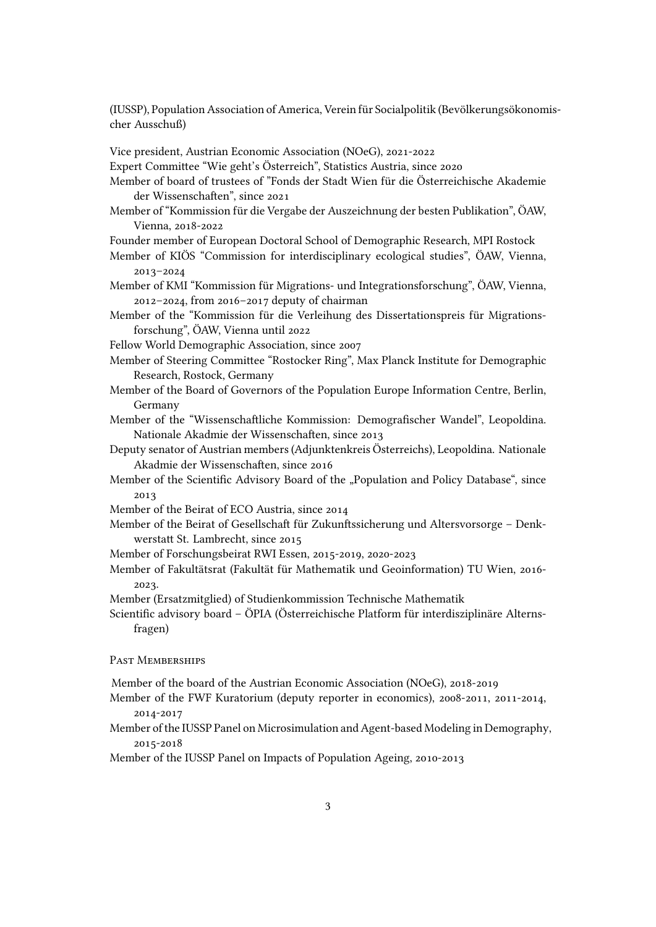(IUSSP), Population Association of America, Verein für Socialpolitik (Bevölkerungsökonomischer Ausschuß)

Vice president, Austrian Economic Association (NOeG), 2021-2022

Expert Committee "Wie geht's Österreich", Statistics Austria, since 2020

Member of board of trustees of "Fonds der Stadt Wien für die Österreichische Akademie der Wissenschaften", since 2021

Member of "Kommission für die Vergabe der Auszeichnung der besten Publikation", ÖAW, Vienna, 2018-2022

Founder member of European Doctoral School of Demographic Research, MPI Rostock

- Member of KIÖS "Commission for interdisciplinary ecological studies", ÖAW, Vienna, 2013–2024
- Member of KMI "Kommission für Migrations- und Integrationsforschung", ÖAW, Vienna, 2012–2024, from 2016–2017 deputy of chairman

Member of the "Kommission für die Verleihung des Dissertationspreis für Migrationsforschung", ÖAW, Vienna until 2022

Fellow World Demographic Association, since 2007

Member of Steering Committee "Rostocker Ring", Max Planck Institute for Demographic Research, Rostock, Germany

- Member of the Board of Governors of the Population Europe Information Centre, Berlin, Germany
- Member of the "Wissenschaftliche Kommission: Demografischer Wandel", Leopoldina. Nationale Akadmie der Wissenschaften, since 2013
- Deputy senator of Austrian members (Adjunktenkreis Österreichs), Leopoldina. Nationale Akadmie der Wissenschaften, since 2016
- Member of the Scientific Advisory Board of the "Population and Policy Database", since 2013
- Member of the Beirat of ECO Austria, since 2014
- Member of the Beirat of Gesellschaft für Zukunftssicherung und Altersvorsorge Denkwerstatt St. Lambrecht, since 2015

Member of Forschungsbeirat RWI Essen, 2015-2019, 2020-2023

Member of Fakultätsrat (Fakultät für Mathematik und Geoinformation) TU Wien, 2016- 2023.

Member (Ersatzmitglied) of Studienkommission Technische Mathematik

Scientific advisory board – ÖPIA (Österreichische Platform für interdisziplinäre Alternsfragen)

PAST MEMBERSHIPS

Member of the board of the Austrian Economic Association (NOeG), 2018-2019

- Member of the FWF Kuratorium (deputy reporter in economics), 2008-2011, 2011-2014, 2014-2017
- Member of the IUSSP Panel on Microsimulation and Agent-based Modeling in Demography, 2015-2018

Member of the IUSSP Panel on Impacts of Population Ageing, 2010-2013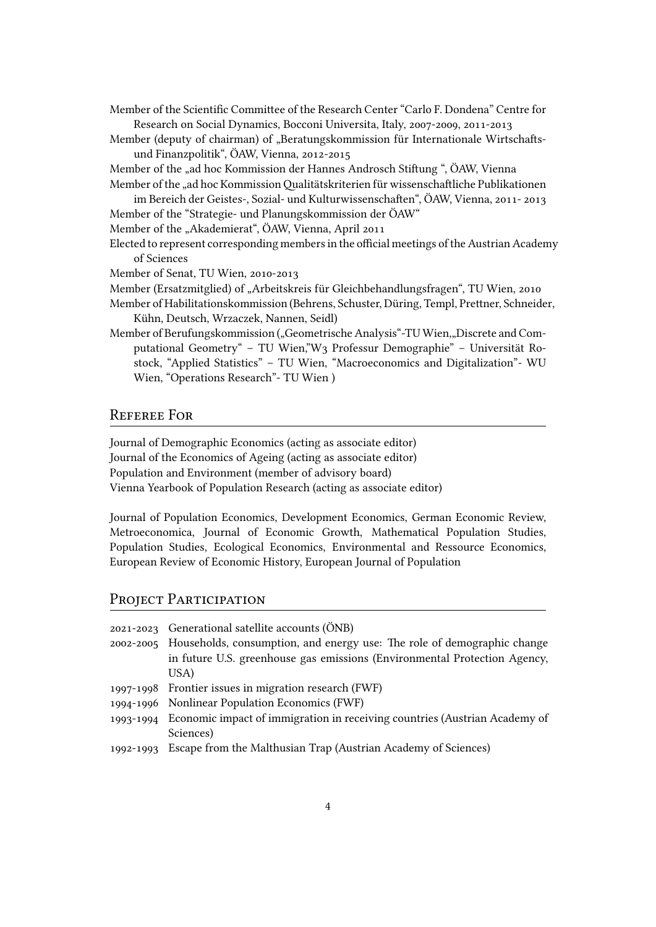- Member of the Scientific Committee of the Research Center "Carlo F. Dondena" Centre for Research on Social Dynamics, Bocconi Universita, Italy, 2007-2009, 2011-2013
- Member (deputy of chairman) of "Beratungskommission für Internationale Wirtschaftsund Finanzpolitik", ÖAW, Vienna, 2012-2015
- Member of the "ad hoc Kommission der Hannes Androsch Stiftung ", ÖAW, Vienna
- Member of the "ad hoc Kommission Qualitätskriterien für wissenschaftliche Publikationen im Bereich der Geistes-, Sozial- und Kulturwissenschaften", ÖAW, Vienna, 2011- 2013
- Member of the "Strategie- und Planungskommission der ÖAW"
- Member of the "Akademierat", ÖAW, Vienna, April 2011
- Elected to represent corresponding members in the official meetings of the Austrian Academy of Sciences
- Member of Senat, TU Wien, 2010-2013
- Member (Ersatzmitglied) of "Arbeitskreis für Gleichbehandlungsfragen", TU Wien, 2010
- Member of Habilitationskommission (Behrens, Schuster, Düring, Templ, Prettner, Schneider, Kühn, Deutsch, Wrzaczek, Nannen, Seidl)
- Member of Berufungskommission ("Geometrische Analysis"-TU Wien,"Discrete and Computational Geometry" – TU Wien,"W3 Professur Demographie" – Universität Rostock, "Applied Statistics" – TU Wien, "Macroeconomics and Digitalization"- WU Wien, "Operations Research"- TU Wien )

## RefeRee FoR

Journal of Demographic Economics (acting as associate editor) Journal of the Economics of Ageing (acting as associate editor) Population and Environment (member of advisory board) Vienna Yearbook of Population Research (acting as associate editor)

Journal of Population Economics, Development Economics, German Economic Review, Metroeconomica, Journal of Economic Growth, Mathematical Population Studies, Population Studies, Ecological Economics, Environmental and Ressource Economics, European Review of Economic History, European Journal of Population

# PROJECT PARTICIPATION

| 2021-2023 Generational satellite accounts (ÖNB)                                      |
|--------------------------------------------------------------------------------------|
| 2002-2005 Households, consumption, and energy use: The role of demographic change    |
| in future U.S. greenhouse gas emissions (Environmental Protection Agency,            |
| USA)                                                                                 |
| 1997-1998 Frontier issues in migration research (FWF)                                |
| 1994-1996 Nonlinear Population Economics (FWF)                                       |
| 1993-1994 Economic impact of immigration in receiving countries (Austrian Academy of |
| Sciences)                                                                            |
| 1992-1993 Escape from the Malthusian Trap (Austrian Academy of Sciences)             |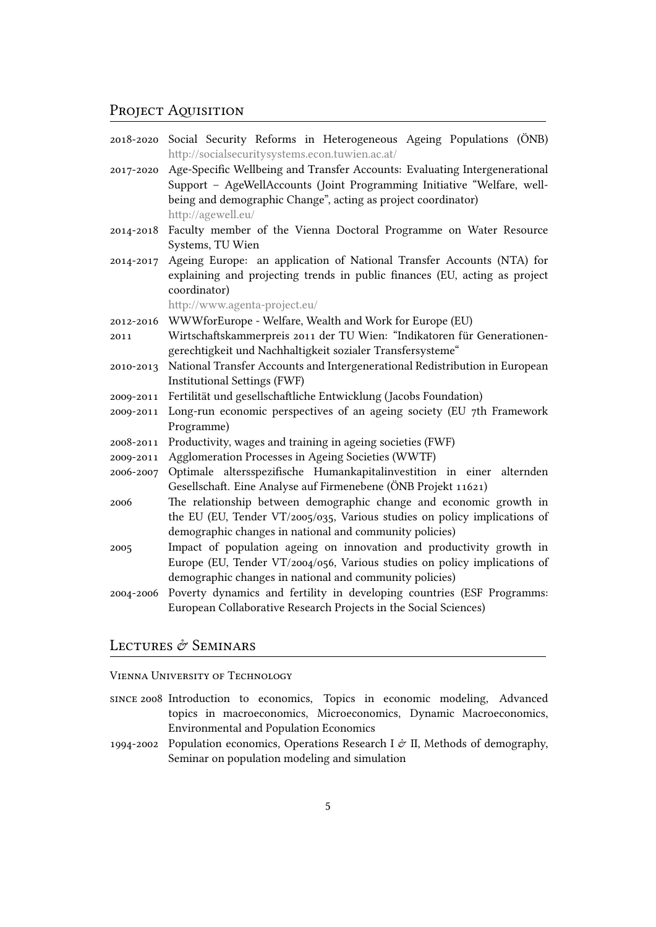# PROJECT AQUISITION

|           | 2018-2020 Social Security Reforms in Heterogeneous Ageing Populations (ÖNB)<br>http://socialsecuritysystems.econ.tuwien.ac.at/                        |
|-----------|-------------------------------------------------------------------------------------------------------------------------------------------------------|
| 2017-2020 | Age-Specific Wellbeing and Transfer Accounts: Evaluating Intergenerational<br>Support - AgeWellAccounts (Joint Programming Initiative "Welfare, well- |
|           | being and demographic Change", acting as project coordinator)                                                                                         |
|           | http://agewell.eu/                                                                                                                                    |
| 2014-2018 | Faculty member of the Vienna Doctoral Programme on Water Resource                                                                                     |
|           | Systems, TU Wien                                                                                                                                      |
| 2014-2017 | Ageing Europe: an application of National Transfer Accounts (NTA) for<br>explaining and projecting trends in public finances (EU, acting as project   |
|           | coordinator)                                                                                                                                          |
|           | http://www.agenta-project.eu/                                                                                                                         |
| 2012-2016 | WWWforEurope - Welfare, Wealth and Work for Europe (EU)                                                                                               |
| 2011      | Wirtschaftskammerpreis 2011 der TU Wien: "Indikatoren für Generationen-                                                                               |
|           | gerechtigkeit und Nachhaltigkeit sozialer Transfersysteme"                                                                                            |
| 2010-2013 | National Transfer Accounts and Intergenerational Redistribution in European                                                                           |
|           | Institutional Settings (FWF)                                                                                                                          |
| 2009-2011 | Fertilität und gesellschaftliche Entwicklung (Jacobs Foundation)                                                                                      |
| 2009-2011 | Long-run economic perspectives of an ageing society (EU 7th Framework<br>Programme)                                                                   |
| 2008-2011 | Productivity, wages and training in ageing societies (FWF)                                                                                            |
| 2009-2011 | Agglomeration Processes in Ageing Societies (WWTF)                                                                                                    |
| 2006-2007 | Optimale altersspezifische Humankapitalinvestition in einer alternden<br>Gesellschaft. Eine Analyse auf Firmenebene (ÖNB Projekt 11621)               |
| 2006      | The relationship between demographic change and economic growth in                                                                                    |
|           | the EU (EU, Tender VT/2005/035, Various studies on policy implications of                                                                             |
|           | demographic changes in national and community policies)                                                                                               |
| 2005      | Impact of population ageing on innovation and productivity growth in                                                                                  |
|           | Europe (EU, Tender VT/2004/056, Various studies on policy implications of                                                                             |
|           | demographic changes in national and community policies)                                                                                               |
| 2004-2006 | Poverty dynamics and fertility in developing countries (ESF Programms:                                                                                |
|           | European Collaborative Research Projects in the Social Sciences)                                                                                      |

# LECTURES & SEMINARS

### Vienna UniveRsity of Technology

- since 2008 Introduction to economics, Topics in economic modeling, Advanced topics in macroeconomics, Microeconomics, Dynamic Macroeconomics, Environmental and Population Economics
- 1994-2002 Population economics, Operations Research I  $\mathcal C$  II, Methods of demography, Seminar on population modeling and simulation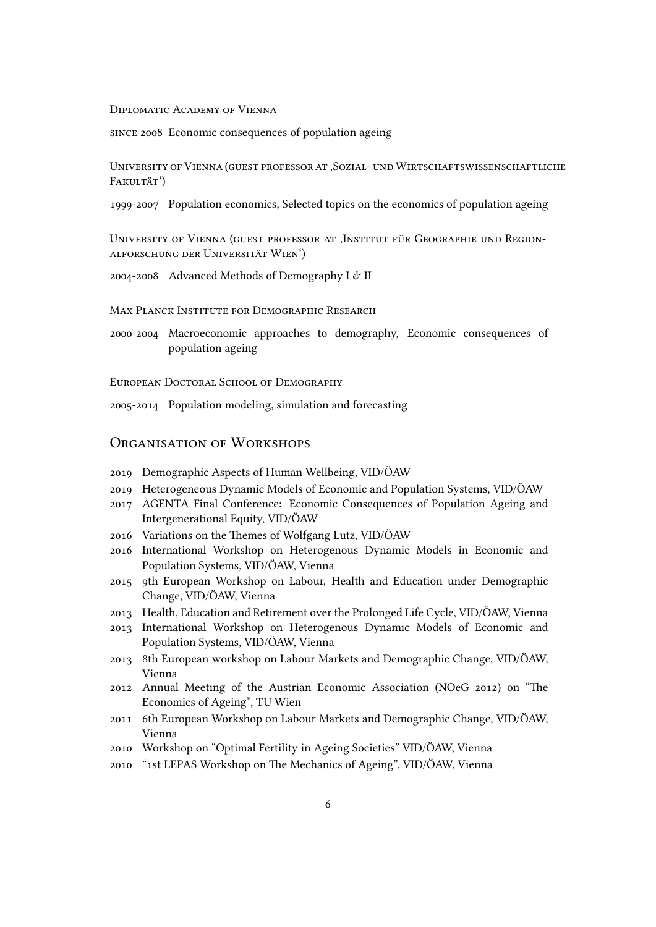#### Diplomatic Academy of Vienna

since 2008 Economic consequences of population ageing

UniveRsity of Vienna (guest pRofessoR at 'Sozial- und WiRtschaftswissenschaftliche FAKULTÄT<sup>'</sup>)

1999-2007 Population economics, Selected topics on the economics of population ageing

UNIVERSITY OF VIENNA (GUEST PROFESSOR AT , INSTITUT FÜR GEOGRAPHIE UND REGIONalfoRschung deR UniveRsitÄt Wien')

2004-2008 Advanced Methods of Demography I  $\mathcal O$  II

MAX PLANCK INSTITUTE FOR DEMOGRAPHIC RESEARCH

2000-2004 Macroeconomic approaches to demography, Economic consequences of population ageing

EUROPEAN DOCTORAL SCHOOL OF DEMOGRAPHY

2005-2014 Population modeling, simulation and forecasting

# ORGANISATION OF WORKSHOPS

- 2019 Demographic Aspects of Human Wellbeing, VID/ÖAW
- 2019 Heterogeneous Dynamic Models of Economic and Population Systems, VID/ÖAW
- 2017 AGENTA Final Conference: Economic Consequences of Population Ageing and Intergenerational Equity, VID/ÖAW
- 2016 Variations on the Themes of Wolfgang Lutz, VID/ÖAW
- 2016 International Workshop on Heterogenous Dynamic Models in Economic and Population Systems, VID/ÖAW, Vienna
- 2015 9th European Workshop on Labour, Health and Education under Demographic Change, VID/ÖAW, Vienna
- 2013 Health, Education and Retirement over the Prolonged Life Cycle, VID/ÖAW, Vienna
- 2013 International Workshop on Heterogenous Dynamic Models of Economic and Population Systems, VID/ÖAW, Vienna
- 2013 8th European workshop on Labour Markets and Demographic Change, VID/ÖAW, Vienna
- 2012 Annual Meeting of the Austrian Economic Association (NOeG 2012) on "The Economics of Ageing", TU Wien
- 2011 6th European Workshop on Labour Markets and Demographic Change, VID/ÖAW, Vienna
- 2010 Workshop on "Optimal Fertility in Ageing Societies" VID/ÖAW, Vienna
- 2010 "1st LEPAS Workshop on The Mechanics of Ageing", VID/ÖAW, Vienna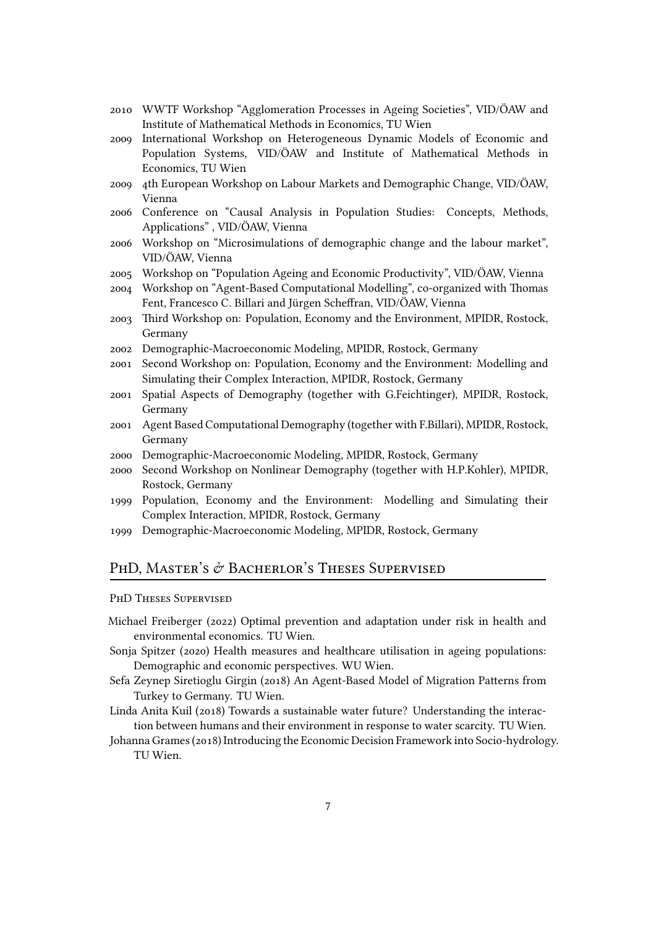- 2010 WWTF Workshop "Agglomeration Processes in Ageing Societies", VID/ÖAW and Institute of Mathematical Methods in Economics, TU Wien
- 2009 International Workshop on Heterogeneous Dynamic Models of Economic and Population Systems, VID/ÖAW and Institute of Mathematical Methods in Economics, TU Wien
- 2009 4th European Workshop on Labour Markets and Demographic Change, VID/ÖAW, Vienna
- 2006 Conference on "Causal Analysis in Population Studies: Concepts, Methods, Applications" , VID/ÖAW, Vienna
- 2006 Workshop on "Microsimulations of demographic change and the labour market", VID/ÖAW, Vienna
- 2005 Workshop on "Population Ageing and Economic Productivity", VID/ÖAW, Vienna
- 2004 Workshop on "Agent-Based Computational Modelling", co-organized with Thomas Fent, Francesco C. Billari and Jürgen Scheffran, VID/ÖAW, Vienna
- 2003 Third Workshop on: Population, Economy and the Environment, MPIDR, Rostock, Germany
- 2002 Demographic-Macroeconomic Modeling, MPIDR, Rostock, Germany
- 2001 Second Workshop on: Population, Economy and the Environment: Modelling and Simulating their Complex Interaction, MPIDR, Rostock, Germany
- 2001 Spatial Aspects of Demography (together with G.Feichtinger), MPIDR, Rostock, Germany
- 2001 Agent Based Computational Demography (together with F.Billari), MPIDR, Rostock, Germany
- 2000 Demographic-Macroeconomic Modeling, MPIDR, Rostock, Germany
- 2000 Second Workshop on Nonlinear Demography (together with H.P.Kohler), MPIDR, Rostock, Germany
- 1999 Population, Economy and the Environment: Modelling and Simulating their Complex Interaction, MPIDR, Rostock, Germany
- 1999 Demographic-Macroeconomic Modeling, MPIDR, Rostock, Germany

## PHD, MASTER'S  $\acute{\sigma}$  Bacherlor's Theses Supervised

#### PHD THESES SUPERVISED

- Michael Freiberger (2022) Optimal prevention and adaptation under risk in health and environmental economics. TU Wien.
- Sonja Spitzer (2020) Health measures and healthcare utilisation in ageing populations: Demographic and economic perspectives. WU Wien.
- Sefa Zeynep Siretioglu Girgin (2018) An Agent-Based Model of Migration Patterns from Turkey to Germany. TU Wien.
- Linda Anita Kuil (2018) Towards a sustainable water future? Understanding the interaction between humans and their environment in response to water scarcity. TU Wien.
- Johanna Grames (2018) Introducing the Economic Decision Framework into Socio-hydrology. TU Wien.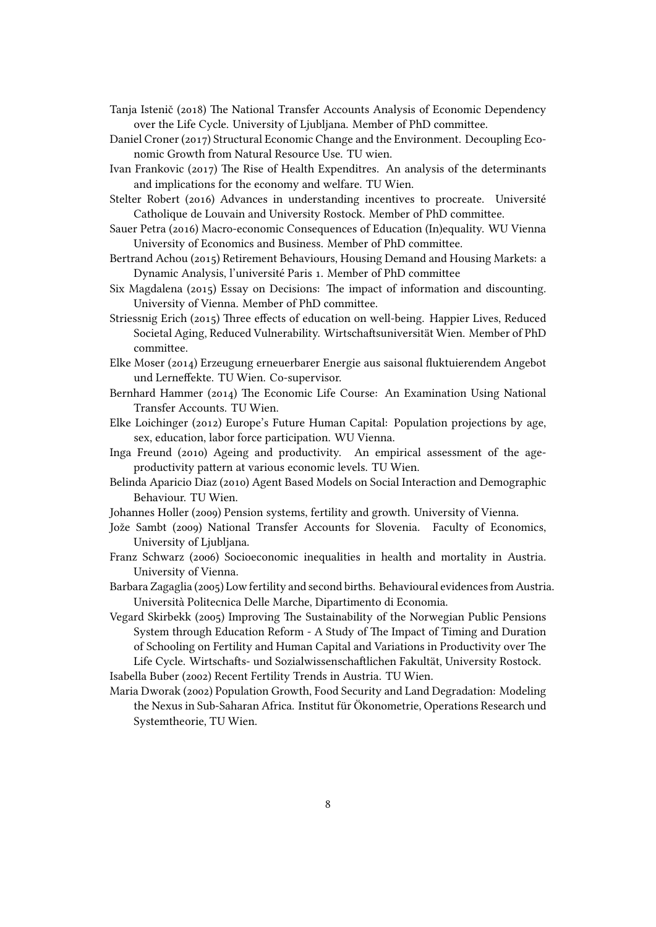- Tanja Istenič (2018) The National Transfer Accounts Analysis of Economic Dependency over the Life Cycle. University of Ljubljana. Member of PhD committee.
- Daniel Croner (2017) Structural Economic Change and the Environment. Decoupling Economic Growth from Natural Resource Use. TU wien.
- Ivan Frankovic (2017) The Rise of Health Expenditres. An analysis of the determinants and implications for the economy and welfare. TU Wien.
- Stelter Robert (2016) Advances in understanding incentives to procreate. Université Catholique de Louvain and University Rostock. Member of PhD committee.
- Sauer Petra (2016) Macro-economic Consequences of Education (In)equality. WU Vienna University of Economics and Business. Member of PhD committee.
- Bertrand Achou (2015) Retirement Behaviours, Housing Demand and Housing Markets: a Dynamic Analysis, l'université Paris 1. Member of PhD committee
- Six Magdalena (2015) Essay on Decisions: The impact of information and discounting. University of Vienna. Member of PhD committee.
- Striessnig Erich (2015) Three effects of education on well-being. Happier Lives, Reduced Societal Aging, Reduced Vulnerability. Wirtschaftsuniversität Wien. Member of PhD committee.
- Elke Moser (2014) Erzeugung erneuerbarer Energie aus saisonal fluktuierendem Angebot und Lerneffekte. TU Wien. Co-supervisor.
- Bernhard Hammer (2014) The Economic Life Course: An Examination Using National Transfer Accounts. TU Wien.
- Elke Loichinger (2012) Europe's Future Human Capital: Population projections by age, sex, education, labor force participation. WU Vienna.
- Inga Freund (2010) Ageing and productivity. An empirical assessment of the ageproductivity pattern at various economic levels. TU Wien.
- Belinda Aparicio Diaz (2010) Agent Based Models on Social Interaction and Demographic Behaviour. TU Wien.
- Johannes Holler (2009) Pension systems, fertility and growth. University of Vienna.
- Jože Sambt (2009) National Transfer Accounts for Slovenia. Faculty of Economics, University of Ljubljana.
- Franz Schwarz (2006) Socioeconomic inequalities in health and mortality in Austria. University of Vienna.
- Barbara Zagaglia (2005) Low fertility and second births. Behavioural evidences from Austria. Università Politecnica Delle Marche, Dipartimento di Economia.
- Vegard Skirbekk (2005) Improving The Sustainability of the Norwegian Public Pensions System through Education Reform - A Study of The Impact of Timing and Duration of Schooling on Fertility and Human Capital and Variations in Productivity over The Life Cycle. Wirtschafts- und Sozialwissenschaftlichen Fakultät, University Rostock. Isabella Buber (2002) Recent Fertility Trends in Austria. TU Wien.
- Maria Dworak (2002) Population Growth, Food Security and Land Degradation: Modeling the Nexus in Sub-Saharan Africa. Institut für Ökonometrie, Operations Research und Systemtheorie, TU Wien.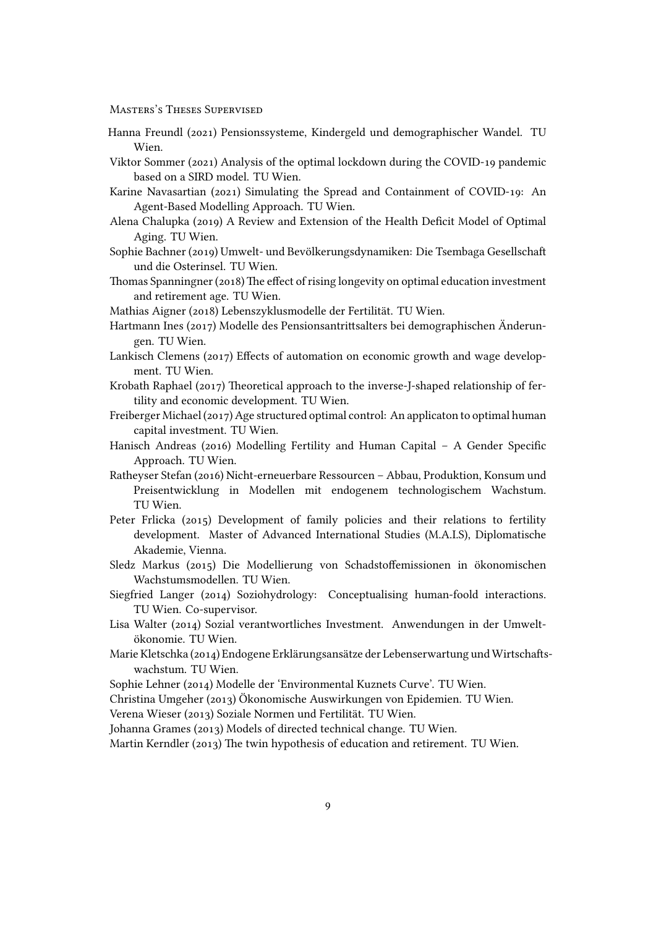MasteRs's Theses SupeRvised

- Hanna Freundl (2021) Pensionssysteme, Kindergeld und demographischer Wandel. TU Wien.
- Viktor Sommer (2021) Analysis of the optimal lockdown during the COVID-19 pandemic based on a SIRD model. TU Wien.
- Karine Navasartian (2021) Simulating the Spread and Containment of COVID-19: An Agent-Based Modelling Approach. TU Wien.
- Alena Chalupka (2019) A Review and Extension of the Health Deficit Model of Optimal Aging. TU Wien.
- Sophie Bachner (2019) Umwelt- und Bevölkerungsdynamiken: Die Tsembaga Gesellschaft und die Osterinsel. TU Wien.
- Thomas Spanningner (2018) The effect of rising longevity on optimal education investment and retirement age. TU Wien.
- Mathias Aigner (2018) Lebenszyklusmodelle der Fertilität. TU Wien.
- Hartmann Ines (2017) Modelle des Pensionsantrittsalters bei demographischen Änderungen. TU Wien.
- Lankisch Clemens (2017) Effects of automation on economic growth and wage development. TU Wien.
- Krobath Raphael (2017) Theoretical approach to the inverse-J-shaped relationship of fertility and economic development. TU Wien.
- Freiberger Michael (2017) Age structured optimal control: An applicaton to optimal human capital investment. TU Wien.
- Hanisch Andreas (2016) Modelling Fertility and Human Capital A Gender Specific Approach. TU Wien.
- Ratheyser Stefan (2016) Nicht-erneuerbare Ressourcen Abbau, Produktion, Konsum und Preisentwicklung in Modellen mit endogenem technologischem Wachstum. TU Wien.
- Peter Frlicka (2015) Development of family policies and their relations to fertility development. Master of Advanced International Studies (M.A.I.S), Diplomatische Akademie, Vienna.
- Sledz Markus (2015) Die Modellierung von Schadstoffemissionen in ökonomischen Wachstumsmodellen. TU Wien.
- Siegfried Langer (2014) Soziohydrology: Conceptualising human-foold interactions. TU Wien. Co-supervisor.
- Lisa Walter (2014) Sozial verantwortliches Investment. Anwendungen in der Umweltökonomie. TU Wien.
- Marie Kletschka (2014) Endogene Erklärungsansätze der Lebenserwartung und Wirtschaftswachstum. TU Wien.
- Sophie Lehner (2014) Modelle der 'Environmental Kuznets Curve'. TU Wien.

Christina Umgeher (2013) Ökonomische Auswirkungen von Epidemien. TU Wien.

Verena Wieser (2013) Soziale Normen und Fertilität. TU Wien.

Johanna Grames (2013) Models of directed technical change. TU Wien.

Martin Kerndler (2013) The twin hypothesis of education and retirement. TU Wien.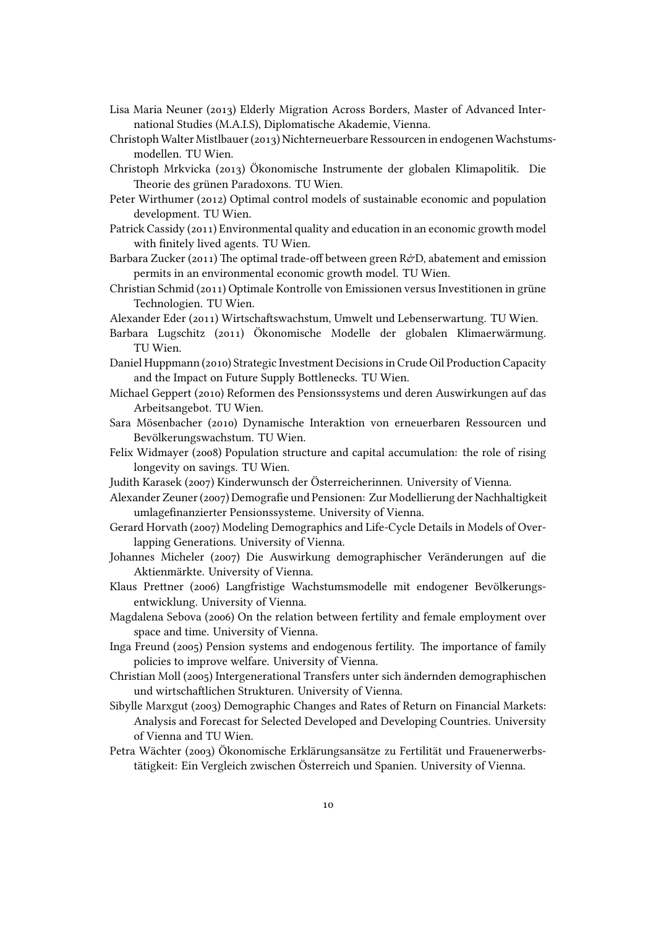- Lisa Maria Neuner (2013) Elderly Migration Across Borders, Master of Advanced International Studies (M.A.I.S), Diplomatische Akademie, Vienna.
- Christoph Walter Mistlbauer (2013) Nichterneuerbare Ressourcen in endogenen Wachstumsmodellen. TU Wien.
- Christoph Mrkvicka (2013) Ökonomische Instrumente der globalen Klimapolitik. Die Theorie des grünen Paradoxons. TU Wien.
- Peter Wirthumer (2012) Optimal control models of sustainable economic and population development. TU Wien.
- Patrick Cassidy (2011) Environmental quality and education in an economic growth model with finitely lived agents. TU Wien.
- Barbara Zucker (2011) The optimal trade-off between green R&D, abatement and emission permits in an environmental economic growth model. TU Wien.
- Christian Schmid (2011) Optimale Kontrolle von Emissionen versus Investitionen in grüne Technologien. TU Wien.
- Alexander Eder (2011) Wirtschaftswachstum, Umwelt und Lebenserwartung. TU Wien.
- Barbara Lugschitz (2011) Ökonomische Modelle der globalen Klimaerwärmung. TU Wien.
- Daniel Huppmann (2010) Strategic Investment Decisions in Crude Oil Production Capacity and the Impact on Future Supply Bottlenecks. TU Wien.
- Michael Geppert (2010) Reformen des Pensionssystems und deren Auswirkungen auf das Arbeitsangebot. TU Wien.
- Sara Mösenbacher (2010) Dynamische Interaktion von erneuerbaren Ressourcen und Bevölkerungswachstum. TU Wien.
- Felix Widmayer (2008) Population structure and capital accumulation: the role of rising longevity on savings. TU Wien.
- Judith Karasek (2007) Kinderwunsch der Österreicherinnen. University of Vienna.
- Alexander Zeuner (2007) Demografie und Pensionen: Zur Modellierung der Nachhaltigkeit umlagefinanzierter Pensionssysteme. University of Vienna.
- Gerard Horvath (2007) Modeling Demographics and Life-Cycle Details in Models of Overlapping Generations. University of Vienna.
- Johannes Micheler (2007) Die Auswirkung demographischer Veränderungen auf die Aktienmärkte. University of Vienna.
- Klaus Prettner (2006) Langfristige Wachstumsmodelle mit endogener Bevölkerungsentwicklung. University of Vienna.
- Magdalena Sebova (2006) On the relation between fertility and female employment over space and time. University of Vienna.
- Inga Freund (2005) Pension systems and endogenous fertility. The importance of family policies to improve welfare. University of Vienna.
- Christian Moll (2005) Intergenerational Transfers unter sich ändernden demographischen und wirtschaftlichen Strukturen. University of Vienna.
- Sibylle Marxgut (2003) Demographic Changes and Rates of Return on Financial Markets: Analysis and Forecast for Selected Developed and Developing Countries. University of Vienna and TU Wien.
- Petra Wächter (2003) Ökonomische Erklärungsansätze zu Fertilität und Frauenerwerbstätigkeit: Ein Vergleich zwischen Österreich und Spanien. University of Vienna.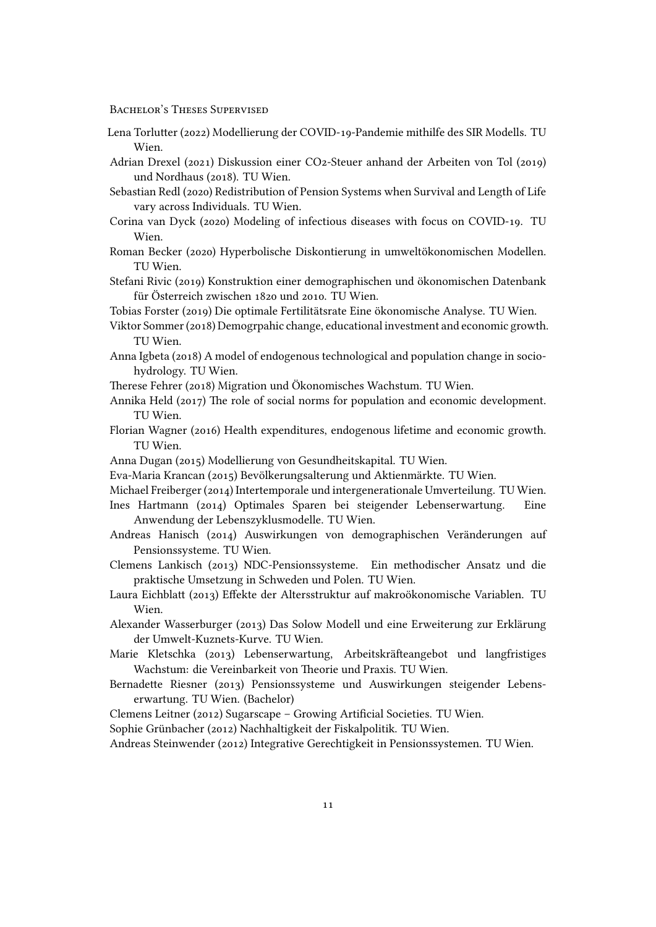BACHELOR'S THESES SUPERVISED

- Lena Torlutter (2022) Modellierung der COVID-19-Pandemie mithilfe des SIR Modells. TU Wien.
- Adrian Drexel (2021) Diskussion einer CO2-Steuer anhand der Arbeiten von Tol (2019) und Nordhaus (2018). TU Wien.
- Sebastian Redl (2020) Redistribution of Pension Systems when Survival and Length of Life vary across Individuals. TU Wien.
- Corina van Dyck (2020) Modeling of infectious diseases with focus on COVID-19. TU Wien.
- Roman Becker (2020) Hyperbolische Diskontierung in umweltökonomischen Modellen. TU Wien.
- Stefani Rivic (2019) Konstruktion einer demographischen und ökonomischen Datenbank für Österreich zwischen 1820 und 2010. TU Wien.
- Tobias Forster (2019) Die optimale Fertilitätsrate Eine ökonomische Analyse. TU Wien.
- Viktor Sommer (2018) Demogrpahic change, educational investment and economic growth. TU Wien.
- Anna Igbeta (2018) A model of endogenous technological and population change in sociohydrology. TU Wien.
- Therese Fehrer (2018) Migration und Ökonomisches Wachstum. TU Wien.
- Annika Held (2017) The role of social norms for population and economic development. TU Wien.
- Florian Wagner (2016) Health expenditures, endogenous lifetime and economic growth. TU Wien.
- Anna Dugan (2015) Modellierung von Gesundheitskapital. TU Wien.
- Eva-Maria Krancan (2015) Bevölkerungsalterung und Aktienmärkte. TU Wien.
- Michael Freiberger (2014) Intertemporale und intergenerationale Umverteilung. TU Wien.
- Ines Hartmann (2014) Optimales Sparen bei steigender Lebenserwartung. Eine Anwendung der Lebenszyklusmodelle. TU Wien.
- Andreas Hanisch (2014) Auswirkungen von demographischen Veränderungen auf Pensionssysteme. TU Wien.
- Clemens Lankisch (2013) NDC-Pensionssysteme. Ein methodischer Ansatz und die praktische Umsetzung in Schweden und Polen. TU Wien.
- Laura Eichblatt (2013) Effekte der Altersstruktur auf makroökonomische Variablen. TU Wien.
- Alexander Wasserburger (2013) Das Solow Modell und eine Erweiterung zur Erklärung der Umwelt-Kuznets-Kurve. TU Wien.
- Marie Kletschka (2013) Lebenserwartung, Arbeitskräfteangebot und langfristiges Wachstum: die Vereinbarkeit von Theorie und Praxis. TU Wien.
- Bernadette Riesner (2013) Pensionssysteme und Auswirkungen steigender Lebenserwartung. TU Wien. (Bachelor)
- Clemens Leitner (2012) Sugarscape Growing Artificial Societies. TU Wien.

Sophie Grünbacher (2012) Nachhaltigkeit der Fiskalpolitik. TU Wien.

Andreas Steinwender (2012) Integrative Gerechtigkeit in Pensionssystemen. TU Wien.